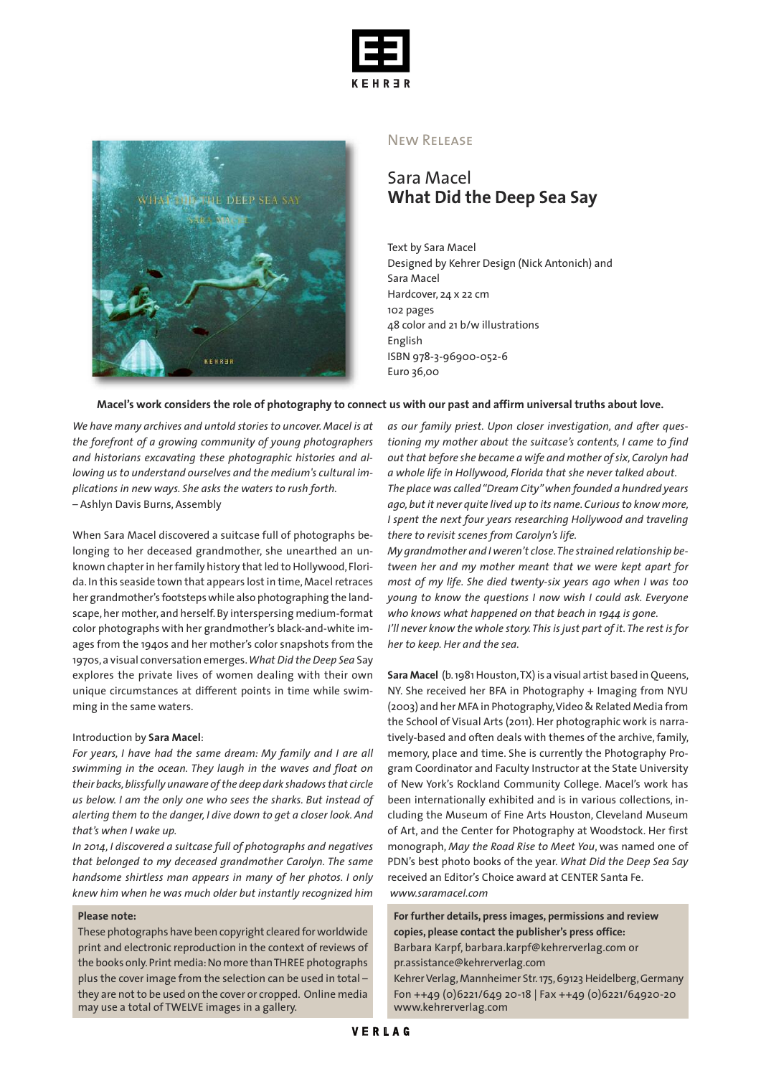



## New Release

# Sara Macel **What Did the Deep Sea Say**

Text by Sara Macel Designed by Kehrer Design (Nick Antonich) and Sara Macel Hardcover, 24 x 22 cm 102 pages 48 color and 21 b/w illustrations English ISBN 978-3-96900-052-6 Euro 36,00

### Macel's work considers the role of photography to connect us with our past and affirm universal truths about love.

*We have many archives and untold stories to uncover. Macel is at the forefront of a growing community of young photographers and historians excavating these photographic histories and allowing us to understand ourselves and the medium's cultural implications in new ways. She asks the waters to rush forth.* – Ashlyn Davis Burns, Assembly

When Sara Macel discovered a suitcase full of photographs belonging to her deceased grandmother, she unearthed an unknown chapter in her family history that led to Hollywood, Florida. In this seaside town that appears lost in time,Macelretraces her grandmother's footstepswhile also photographing the landscape, her mother, and herself. By interspersing medium-format color photographs with her grandmother's black-and-white images from the 1940s and her mother's color snapshots from the 1970s,a visual conversation emerges.*What Did the Deep Sea* Say explores the private lives of women dealing with their own unique circumstances at different points in time while swimming in the same waters.

#### Introduction by **Sara Macel**:

*For years, I have had the same dream: My family and I are all swimming in the ocean. They laugh in the waves and float on their backs,blissfully unaware ofthe deep dark shadowsthat circle us below. I am the only one who sees the sharks. But instead of alerting them to the danger, I dive down to get a closer look. And that's when I wake up.*

*In 2014, I discovered a suitcase full of photographs and negatives that belonged to my deceased grandmother Carolyn. The same handsome shirtless man appears in many of her photos. I only knew him when he was much older but instantly recognized him*

## **Please note:**

These photographs have been copyright cleared forworldwide print and electronic reproduction in the context of reviews of the books only.Print media:No more thanTHREE photographs plus the cover image from the selection can be used in total – they are not to be used on the cover or cropped. Online media may use a total of TWELVE images in a gallery.

*as our family priest. Upon closer investigation, and after questioning my mother about the suitcase's contents, I came to find out that before she became a wife and mother ofsix,Carolyn had a whole life in Hollywood, Florida that she never talked about. The place was called"Dream City"when founded a hundred years ago,but it never quite lived up to its name.Curiousto know more, I spent the next four years researching Hollywood and traveling there to revisit scenes from Carolyn's life.*

*My grandmother and I weren't close.The strained relationship between her and my mother meant that we were kept apart for most of my life. She died twenty-six years ago when I was too young to know the questions I now wish I could ask. Everyone who knows what happened on that beach in 1944 is gone. I'll never know the whole story.This is just part of it.The rest is for her to keep. Her and the sea.*

**Sara Macel** (b.1981Houston,TX) is a visual artist based in Queens, NY. She received her BFA in Photography + Imaging from NYU (2003) and her MFA in Photography,Video & Related Media from the School of Visual Arts (2011). Her photographic work is narratively-based and often deals with themes of the archive, family, memory, place and time. She is currently the Photography Program Coordinator and Faculty Instructor at the State University of New York's Rockland Community College. Macel's work has been internationally exhibited and is in various collections, including the Museum of Fine Arts Houston, Cleveland Museum of Art, and the Center for Photography at Woodstock. Her first monograph, *May the Road Rise to Meet You*, was named one of PDN's best photo books of the year. *What Did the Deep Sea Say* received an Editor's Choice award at CENTER Santa Fe. *www.saramacel.com*

**For further details, press images, permissions and review copies, please contact the publisher's press office:** Barbara Karpf, barbara.karpf@kehrerverlag.com or pr.assistance@kehrerverlag.com

Kehrer Verlag, Mannheimer Str. 175, 69123 Heidelberg, Germany Fon ++49 (0)6221/649 20-18 | Fax ++49 (0)6221/64920-20 www.kehrerverlag.com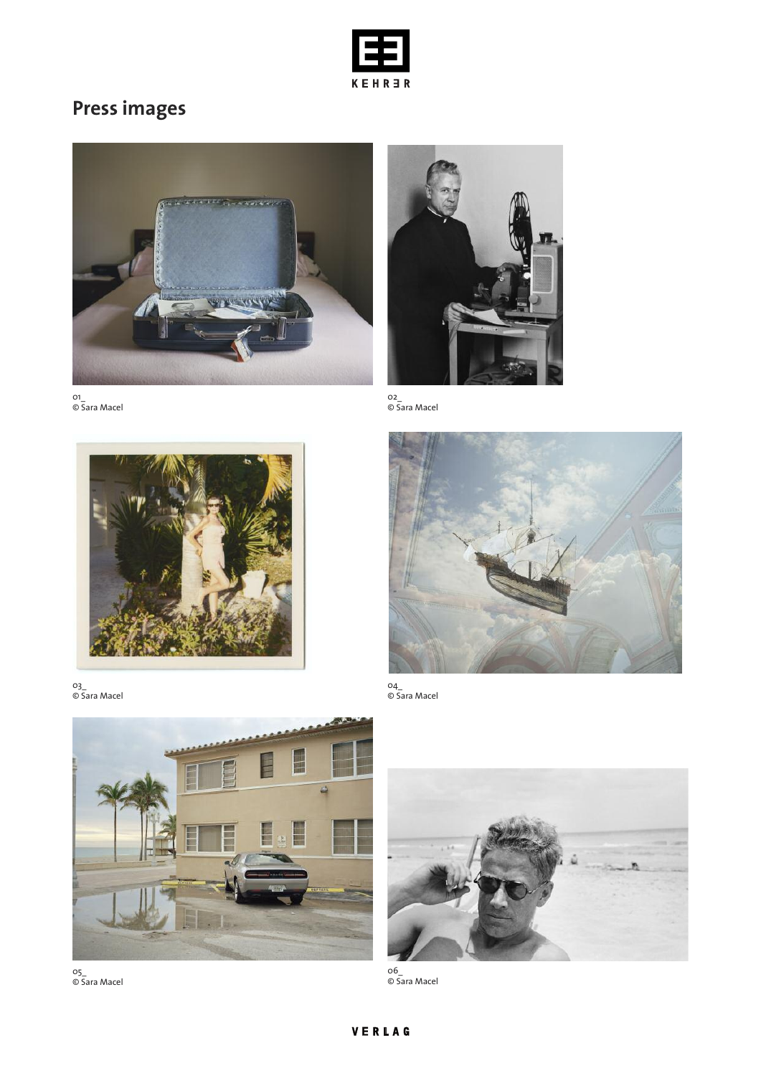

# **Press images**







03\_ © Sara Macel



05\_ © Sara Macel



02\_ © Sara Macel



04\_ © Sara Macel



06\_ © Sara Macel

# VERLAG